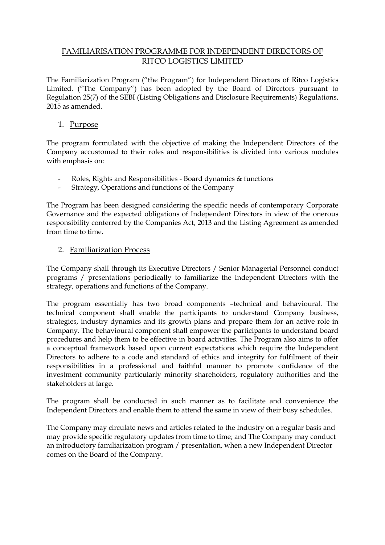## FAMILIARISATION PROGRAMME FOR INDEPENDENT DIRECTORS OF RITCO LOGISTICS LIMITED

The Familiarization Program ("the Program") for Independent Directors of Ritco Logistics Limited. ("The Company") has been adopted by the Board of Directors pursuant to Regulation 25(7) of the SEBI (Listing Obligations and Disclosure Requirements) Regulations, 2015 as amended.

### 1. Purpose

The program formulated with the objective of making the Independent Directors of the Company accustomed to their roles and responsibilities is divided into various modules with emphasis on:

- Roles, Rights and Responsibilities Board dynamics & functions
- Strategy, Operations and functions of the Company

The Program has been designed considering the specific needs of contemporary Corporate Governance and the expected obligations of Independent Directors in view of the onerous responsibility conferred by the Companies Act, 2013 and the Listing Agreement as amended from time to time.

#### 2. Familiarization Process

The Company shall through its Executive Directors / Senior Managerial Personnel conduct programs / presentations periodically to familiarize the Independent Directors with the strategy, operations and functions of the Company.

The program essentially has two broad components –technical and behavioural. The technical component shall enable the participants to understand Company business, strategies, industry dynamics and its growth plans and prepare them for an active role in Company. The behavioural component shall empower the participants to understand board procedures and help them to be effective in board activities. The Program also aims to offer a conceptual framework based upon current expectations which require the Independent Directors to adhere to a code and standard of ethics and integrity for fulfilment of their responsibilities in a professional and faithful manner to promote confidence of the investment community particularly minority shareholders, regulatory authorities and the stakeholders at large.

The program shall be conducted in such manner as to facilitate and convenience the Independent Directors and enable them to attend the same in view of their busy schedules.

The Company may circulate news and articles related to the Industry on a regular basis and may provide specific regulatory updates from time to time; and The Company may conduct an introductory familiarization program / presentation, when a new Independent Director comes on the Board of the Company.